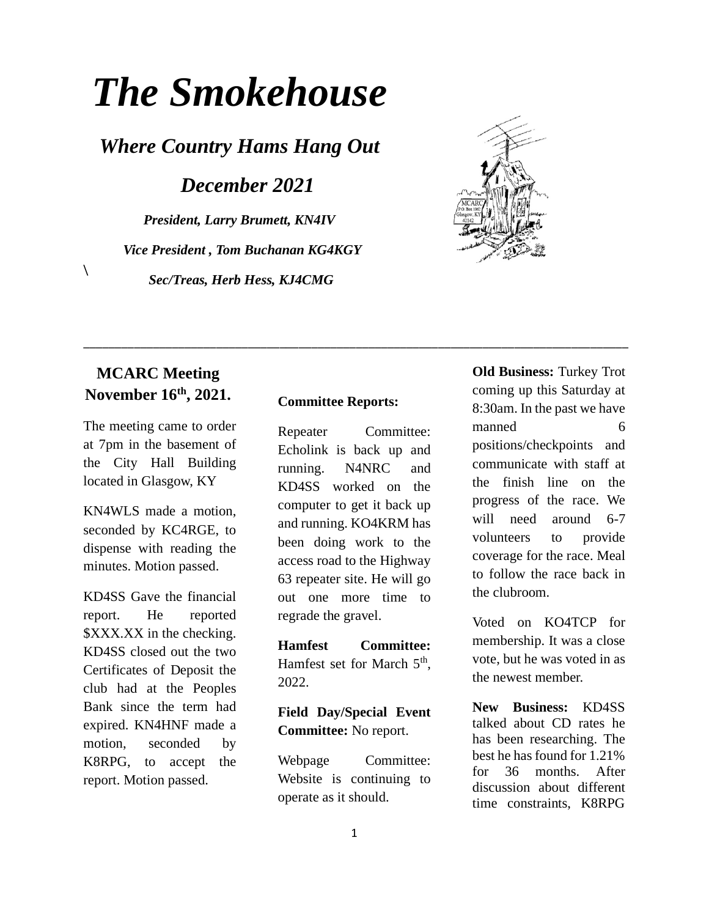# *The Smokehouse*

*Where Country Hams Hang Out*

*December 2021*

*President, Larry Brumett, KN4IV Vice President , Tom Buchanan KG4KGY Sec/Treas, Herb Hess, KJ4CMG*



### **MCARC Meeting November 16th, 2021.**

 $\setminus$ 

The meeting came to order at 7pm in the basement of the City Hall Building located in Glasgow, KY

KN4WLS made a motion, seconded by KC4RGE, to dispense with reading the minutes. Motion passed.

KD4SS Gave the financial report. He reported \$XXX.XX in the checking. KD4SS closed out the two Certificates of Deposit the club had at the Peoples Bank since the term had expired. KN4HNF made a motion, seconded by K8RPG, to accept the report. Motion passed.

#### **Committee Reports:**

\_\_\_\_\_\_\_\_\_\_\_\_\_\_\_\_\_\_\_\_\_\_\_\_\_\_\_\_\_\_\_\_\_\_\_\_\_\_\_\_\_\_\_\_\_\_\_\_\_\_\_\_\_\_\_\_\_\_\_\_\_\_\_\_\_\_\_\_\_\_\_\_\_\_\_\_\_\_\_\_\_\_\_\_\_\_

Repeater Committee: Echolink is back up and running. N4NRC and KD4SS worked on the computer to get it back up and running. KO4KRM has been doing work to the access road to the Highway 63 repeater site. He will go out one more time to regrade the gravel.

**Hamfest Committee:** Hamfest set for March 5<sup>th</sup>, 2022.

#### **Field Day/Special Event Committee:** No report.

Webpage Committee: Website is continuing to operate as it should.

**Old Business:** Turkey Trot coming up this Saturday at 8:30am. In the past we have manned 6 positions/checkpoints and communicate with staff at the finish line on the progress of the race. We will need around 6-7 volunteers to provide coverage for the race. Meal to follow the race back in the clubroom.

Voted on KO4TCP for membership. It was a close vote, but he was voted in as the newest member.

**New Business:** KD4SS talked about CD rates he has been researching. The best he has found for 1.21% for 36 months. After discussion about different time constraints, K8RPG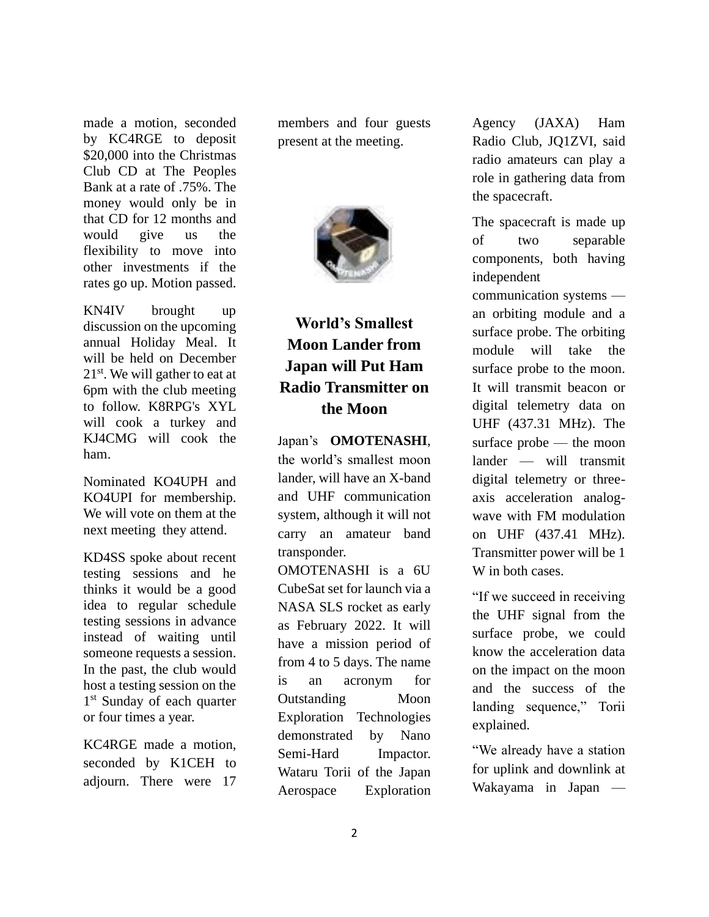made a motion, seconded by KC4RGE to deposit \$20,000 into the Christmas Club CD at The Peoples Bank at a rate of .75%. The money would only be in that CD for 12 months and would give us the flexibility to move into other investments if the rates go up. Motion passed.

KN4IV brought up discussion on the upcoming annual Holiday Meal. It will be held on December  $21<sup>st</sup>$ . We will gather to eat at 6pm with the club meeting to follow. K8RPG's XYL will cook a turkey and KJ4CMG will cook the ham.

Nominated KO4UPH and KO4UPI for membership. We will vote on them at the next meeting they attend.

KD4SS spoke about recent testing sessions and he thinks it would be a good idea to regular schedule testing sessions in advance instead of waiting until someone requests a session. In the past, the club would host a testing session on the 1<sup>st</sup> Sunday of each quarter or four times a year.

KC4RGE made a motion, seconded by K1CEH to adjourn. There were 17 members and four guests present at the meeting.



## **World's Smallest Moon Lander from Japan will Put Ham Radio Transmitter on the Moon**

Japan's **[OMOTENASHI](https://www.isas.jaxa.jp/home/omotenashi)**, the world's smallest moon lander, will have an X-band and UHF communication system, although it will not carry an amateur band transponder.

OMOTENASHI is a 6U CubeSat set for launch via a NASA SLS rocket as early as February 2022. It will have a mission period of from 4 to 5 days. The name is an acronym for Outstanding Moon Exploration Technologies demonstrated by Nano Semi-Hard Impactor. Wataru Torii of the Japan Aerospace Exploration Agency (JAXA) Ham Radio Club, JQ1ZVI, said radio amateurs can play a role in gathering data from the spacecraft.

The spacecraft is made up of two separable components, both having independent

communication systems an orbiting module and a surface probe. The orbiting module will take the surface probe to the moon. It will transmit beacon or digital telemetry data on UHF (437.31 MHz). The surface probe — the moon lander — will transmit digital telemetry or threeaxis acceleration analogwave with FM modulation on UHF (437.41 MHz). Transmitter power will be 1 W in both cases.

"If we succeed in receiving the UHF signal from the surface probe, we could know the acceleration data on the impact on the moon and the success of the landing sequence," Torii explained.

"We already have a station for uplink and downlink at Wakayama in Japan —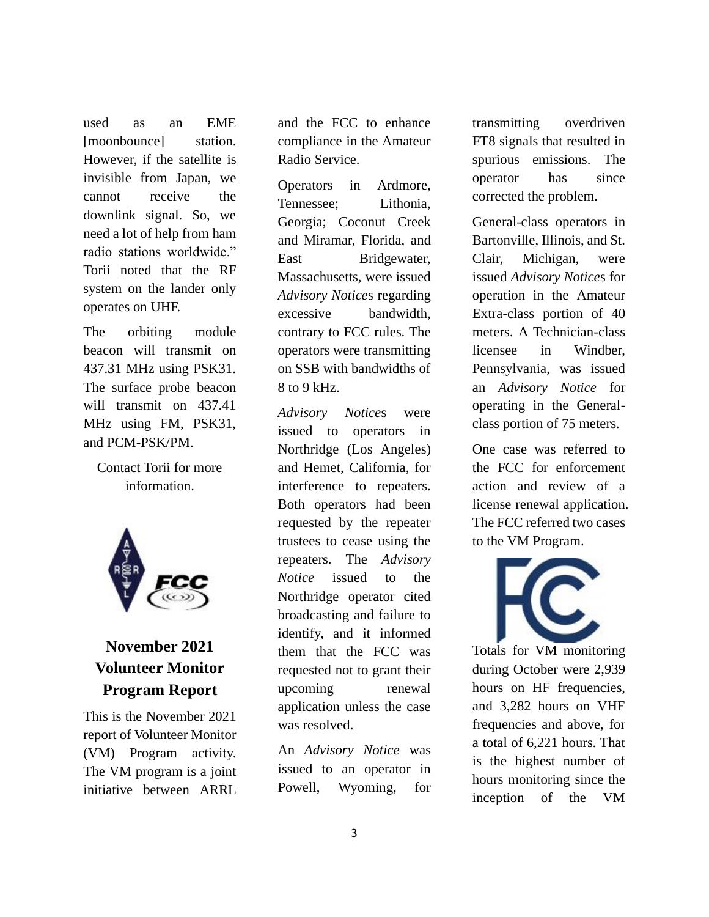used as an EME [moonbounce] station. However, if the satellite is invisible from Japan, we cannot receive the downlink signal. So, we need a lot of help from ham radio stations worldwide." Torii noted that the RF system on the lander only operates on UHF.

The orbiting module beacon will transmit on 437.31 MHz using PSK31. The surface probe beacon will transmit on 437.41 MHz using FM, PSK31, and PCM-PSK/PM.

[Contact](mailto:torii.wataru@jaxa.jp) Torii for more information.



## **November 2021 Volunteer Monitor Program Report**

This is the November 2021 report of Volunteer Monitor (VM) Program activity. The VM program is a joint initiative between ARRL

and the FCC to enhance compliance in the Amateur Radio Service.

Operators in Ardmore, Tennessee; Lithonia, Georgia; Coconut Creek and Miramar, Florida, and East Bridgewater. Massachusetts, were issued *Advisory Notice*s regarding excessive bandwidth, contrary to FCC rules. The operators were transmitting on SSB with bandwidths of 8 to 9 kHz.

*Advisory Notice*s were issued to operators in Northridge (Los Angeles) and Hemet, California, for interference to repeaters. Both operators had been requested by the repeater trustees to cease using the repeaters. The *Advisory Notice* issued to the Northridge operator cited broadcasting and failure to identify, and it informed them that the FCC was requested not to grant their upcoming renewal application unless the case was resolved.

An *Advisory Notice* was issued to an operator in Powell, Wyoming, for transmitting overdriven FT8 signals that resulted in spurious emissions. The operator has since corrected the problem.

General-class operators in Bartonville, Illinois, and St. Clair, Michigan, were issued *Advisory Notice*s for operation in the Amateur Extra-class portion of 40 meters. A Technician-class licensee in Windber, Pennsylvania, was issued an *Advisory Notice* for operating in the Generalclass portion of 75 meters.

One case was referred to the FCC for enforcement action and review of a license renewal application. The FCC referred two cases to the VM Program.



Totals for VM monitoring during October were 2,939 hours on HF frequencies, and 3,282 hours on VHF frequencies and above, for a total of 6,221 hours. That is the highest number of hours monitoring since the inception of the VM